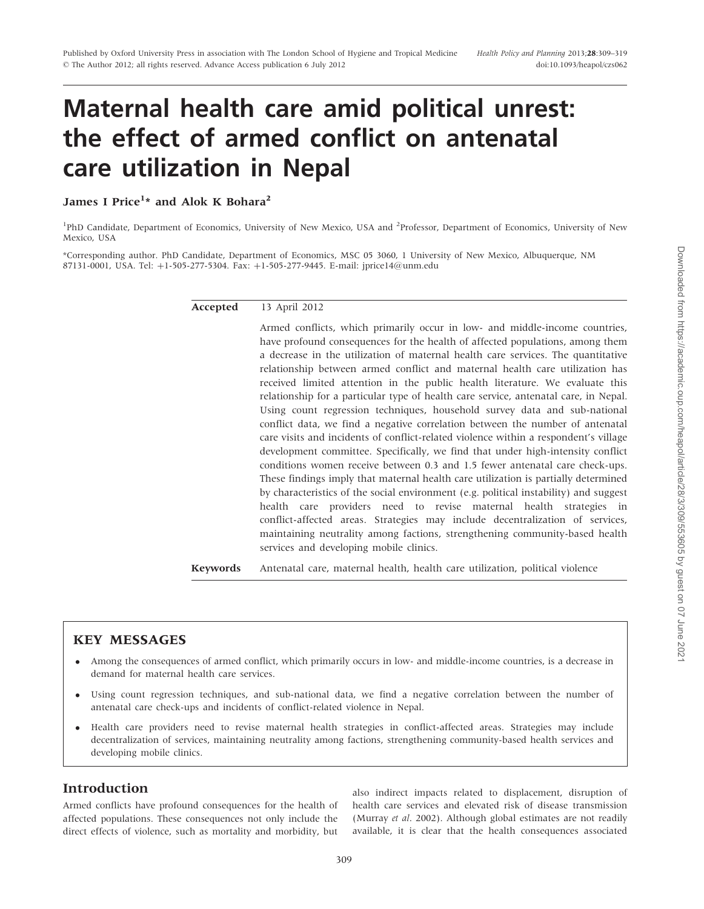# Maternal health care amid political unrest: the effect of armed conflict on antenatal care utilization in Nepal

James I Price<sup>1</sup>\* and Alok K Bohara<sup>2</sup>

<sup>1</sup>PhD Candidate, Department of Economics, University of New Mexico, USA and <sup>2</sup>Professor, Department of Economics, University of New Mexico, USA

\*Corresponding author. PhD Candidate, Department of Economics, MSC 05 3060, 1 University of New Mexico, Albuquerque, NM 87131-0001, USA. Tel: +1-505-277-5304. Fax: +1-505-277-9445. E-mail: jprice14@unm.edu

## Accepted 13 April 2012

Armed conflicts, which primarily occur in low- and middle-income countries, have profound consequences for the health of affected populations, among them a decrease in the utilization of maternal health care services. The quantitative relationship between armed conflict and maternal health care utilization has received limited attention in the public health literature. We evaluate this relationship for a particular type of health care service, antenatal care, in Nepal. Using count regression techniques, household survey data and sub-national conflict data, we find a negative correlation between the number of antenatal care visits and incidents of conflict-related violence within a respondent's village development committee. Specifically, we find that under high-intensity conflict conditions women receive between 0.3 and 1.5 fewer antenatal care check-ups. These findings imply that maternal health care utilization is partially determined by characteristics of the social environment (e.g. political instability) and suggest health care providers need to revise maternal health strategies in conflict-affected areas. Strategies may include decentralization of services, maintaining neutrality among factions, strengthening community-based health services and developing mobile clinics.

Keywords Antenatal care, maternal health, health care utilization, political violence

# KEY MESSAGES

- $\bullet$  Among the consequences of armed conflict, which primarily occurs in low- and middle-income countries, is a decrease in demand for maternal health care services.
- $\bullet$  Using count regression techniques, and sub-national data, we find a negative correlation between the number of antenatal care check-ups and incidents of conflict-related violence in Nepal.
- $\bullet$  Health care providers need to revise maternal health strategies in conflict-affected areas. Strategies may include decentralization of services, maintaining neutrality among factions, strengthening community-based health services and developing mobile clinics.

# Introduction

Armed conflicts have profound consequences for the health of affected populations. These consequences not only include the direct effects of violence, such as mortality and morbidity, but also indirect impacts related to displacement, disruption of health care services and elevated risk of disease transmission [\(Murray](#page-9-0) et al. 2002). Although global estimates are not readily available, it is clear that the health consequences associated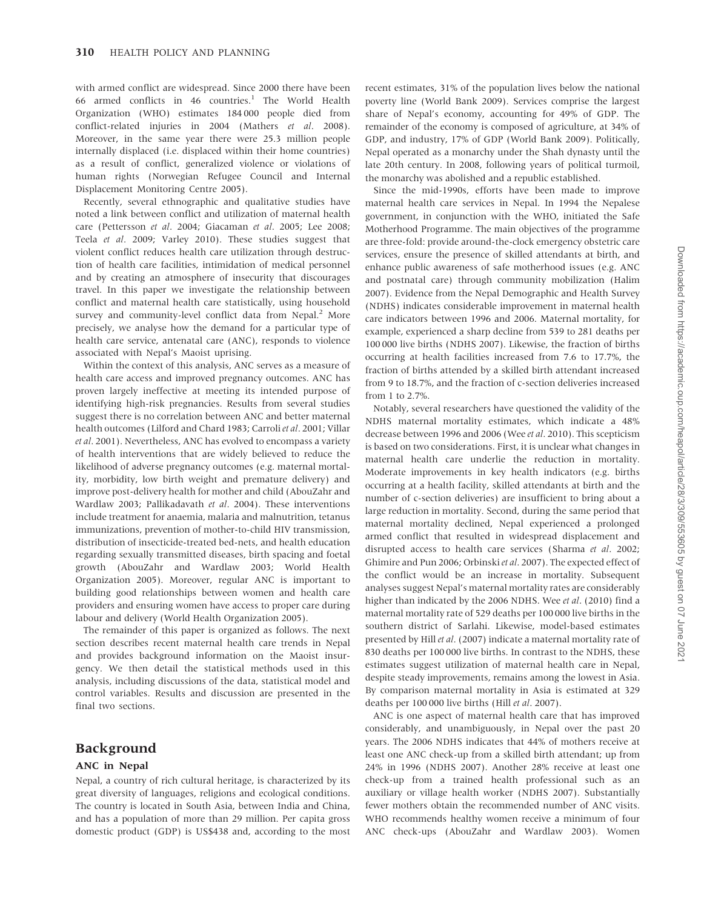with armed conflict are widespread. Since 2000 there have been 66 armed conflicts in 46 countries.<sup>1</sup> The World Health Organization (WHO) estimates 184 000 people died from conflict-related injuries in 2004 ([Mathers](#page-9-0) et al. 2008). Moreover, in the same year there were 25.3 million people internally displaced (i.e. displaced within their home countries) as a result of conflict, generalized violence or violations of human rights [\(Norwegian Refugee Council and Internal](#page-9-0) [Displacement Monitoring Centre 2005\)](#page-9-0).

Recently, several ethnographic and qualitative studies have noted a link between conflict and utilization of maternal health care ([Pettersson](#page-10-0) et al. 2004; [Giacaman](#page-9-0) et al. 2005; [Lee 2008](#page-9-0); Teela et al[. 2009; Varley 2010](#page-10-0)). These studies suggest that violent conflict reduces health care utilization through destruction of health care facilities, intimidation of medical personnel and by creating an atmosphere of insecurity that discourages travel. In this paper we investigate the relationship between conflict and maternal health care statistically, using household survey and community-level conflict data from Nepal.<sup>2</sup> More precisely, we analyse how the demand for a particular type of health care service, antenatal care (ANC), responds to violence associated with Nepal's Maoist uprising.

Within the context of this analysis, ANC serves as a measure of health care access and improved pregnancy outcomes. ANC has proven largely ineffective at meeting its intended purpose of identifying high-risk pregnancies. Results from several studies suggest there is no correlation between ANC and better maternal health outcomes [\(Lilford and Chard 1983](#page-9-0); [Carroli](#page-9-0) et al. 2001; [Villar](#page-10-0) et al[. 2001\)](#page-10-0). Nevertheless, ANC has evolved to encompass a variety of health interventions that are widely believed to reduce the likelihood of adverse pregnancy outcomes (e.g. maternal mortality, morbidity, low birth weight and premature delivery) and improve post-delivery health for mother and child [\(AbouZahr and](#page-9-0) [Wardlaw 2003;](#page-9-0) [Pallikadavath](#page-10-0) et al. 2004). These interventions include treatment for anaemia, malaria and malnutrition, tetanus immunizations, prevention of mother-to-child HIV transmission, distribution of insecticide-treated bed-nets, and health education regarding sexually transmitted diseases, birth spacing and foetal growth [\(AbouZahr and Wardlaw 2003;](#page-9-0) [World Health](#page-10-0) [Organization 2005](#page-10-0)). Moreover, regular ANC is important to building good relationships between women and health care providers and ensuring women have access to proper care during labour and delivery ([World Health Organization 2005\)](#page-10-0).

The remainder of this paper is organized as follows. The next section describes recent maternal health care trends in Nepal and provides background information on the Maoist insurgency. We then detail the statistical methods used in this analysis, including discussions of the data, statistical model and control variables. Results and discussion are presented in the final two sections.

## **Background**

#### ANC in Nepal

Nepal, a country of rich cultural heritage, is characterized by its great diversity of languages, religions and ecological conditions. The country is located in South Asia, between India and China, and has a population of more than 29 million. Per capita gross domestic product (GDP) is US\$438 and, according to the most

recent estimates, 31% of the population lives below the national poverty line ([World Bank 2009](#page-10-0)). Services comprise the largest share of Nepal's economy, accounting for 49% of GDP. The remainder of the economy is composed of agriculture, at 34% of GDP, and industry, 17% of GDP [\(World Bank 2009\)](#page-10-0). Politically, Nepal operated as a monarchy under the Shah dynasty until the late 20th century. In 2008, following years of political turmoil, the monarchy was abolished and a republic established.

Since the mid-1990s, efforts have been made to improve maternal health care services in Nepal. In 1994 the Nepalese government, in conjunction with the WHO, initiated the Safe Motherhood Programme. The main objectives of the programme are three-fold: provide around-the-clock emergency obstetric care services, ensure the presence of skilled attendants at birth, and enhance public awareness of safe motherhood issues (e.g. ANC and postnatal care) through community mobilization [\(Halim](#page-9-0) [2007](#page-9-0)). Evidence from the Nepal Demographic and Health Survey (NDHS) indicates considerable improvement in maternal health care indicators between 1996 and 2006. Maternal mortality, for example, experienced a sharp decline from 539 to 281 deaths per 100 000 live births [\(NDHS 2007\)](#page-9-0). Likewise, the fraction of births occurring at health facilities increased from 7.6 to 17.7%, the fraction of births attended by a skilled birth attendant increased from 9 to 18.7%, and the fraction of c-section deliveries increased from 1 to 2.7%.

Notably, several researchers have questioned the validity of the NDHS maternal mortality estimates, which indicate a 48% decrease between 1996 and 2006 (Wee et al[. 2010](#page-10-0)). This scepticism is based on two considerations. First, it is unclear what changes in maternal health care underlie the reduction in mortality. Moderate improvements in key health indicators (e.g. births occurring at a health facility, skilled attendants at birth and the number of c-section deliveries) are insufficient to bring about a large reduction in mortality. Second, during the same period that maternal mortality declined, Nepal experienced a prolonged armed conflict that resulted in widespread displacement and disrupted access to health care services [\(Sharma](#page-10-0) et al. 2002; [Ghimire and Pun 2006](#page-9-0); [Orbinski](#page-10-0) et al. 2007). The expected effect of the conflict would be an increase in mortality. Subsequent analyses suggest Nepal's maternal mortality rates are considerably higher than indicated by the 2006 NDHS. Wee et al[. \(2010\)](#page-10-0) find a maternal mortality rate of 529 deaths per 100 000 live births in the southern district of Sarlahi. Likewise, model-based estimates presented by Hill et al[. \(2007\)](#page-9-0) indicate a maternal mortality rate of 830 deaths per 100 000 live births. In contrast to the NDHS, these estimates suggest utilization of maternal health care in Nepal, despite steady improvements, remains among the lowest in Asia. By comparison maternal mortality in Asia is estimated at 329 deaths per 100 000 live births (Hill et al[. 2007](#page-9-0)).

ANC is one aspect of maternal health care that has improved considerably, and unambiguously, in Nepal over the past 20 years. The 2006 NDHS indicates that 44% of mothers receive at least one ANC check-up from a skilled birth attendant; up from 24% in 1996 ([NDHS 2007\)](#page-9-0). Another 28% receive at least one check-up from a trained health professional such as an auxiliary or village health worker [\(NDHS 2007\)](#page-9-0). Substantially fewer mothers obtain the recommended number of ANC visits. WHO recommends healthy women receive a minimum of four ANC check-ups ([AbouZahr and Wardlaw 2003\)](#page-9-0). Women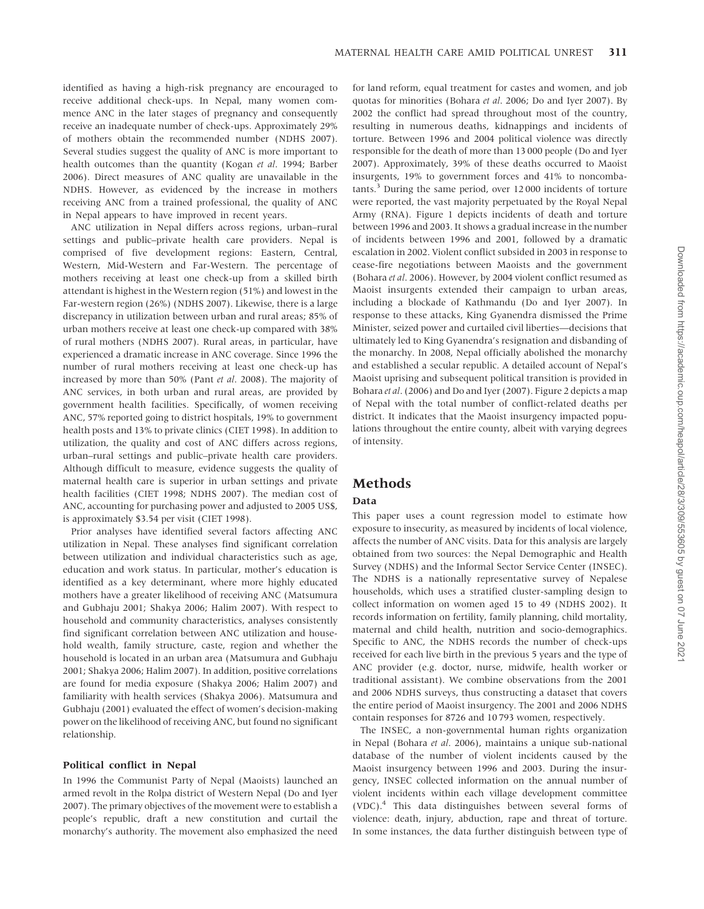identified as having a high-risk pregnancy are encouraged to receive additional check-ups. In Nepal, many women commence ANC in the later stages of pregnancy and consequently receive an inadequate number of check-ups. Approximately 29% of mothers obtain the recommended number ([NDHS 2007](#page-9-0)). Several studies suggest the quality of ANC is more important to health outcomes than the quantity [\(Kogan](#page-9-0) et al. 1994; [Barber](#page-9-0) [2006](#page-9-0)). Direct measures of ANC quality are unavailable in the NDHS. However, as evidenced by the increase in mothers receiving ANC from a trained professional, the quality of ANC in Nepal appears to have improved in recent years.

ANC utilization in Nepal differs across regions, urban–rural settings and public–private health care providers. Nepal is comprised of five development regions: Eastern, Central, Western, Mid-Western and Far-Western. The percentage of mothers receiving at least one check-up from a skilled birth attendant is highest in the Western region (51%) and lowest in the Far-western region (26%) [\(NDHS 2007](#page-9-0)). Likewise, there is a large discrepancy in utilization between urban and rural areas; 85% of urban mothers receive at least one check-up compared with 38% of rural mothers ([NDHS 2007\)](#page-9-0). Rural areas, in particular, have experienced a dramatic increase in ANC coverage. Since 1996 the number of rural mothers receiving at least one check-up has increased by more than 50% (Pant et al[. 2008\)](#page-10-0). The majority of ANC services, in both urban and rural areas, are provided by government health facilities. Specifically, of women receiving ANC, 57% reported going to district hospitals, 19% to government health posts and 13% to private clinics ([CIET 1998](#page-9-0)). In addition to utilization, the quality and cost of ANC differs across regions, urban–rural settings and public–private health care providers. Although difficult to measure, evidence suggests the quality of maternal health care is superior in urban settings and private health facilities [\(CIET 1998](#page-9-0); [NDHS 2007](#page-9-0)). The median cost of ANC, accounting for purchasing power and adjusted to 2005 US\$, is approximately \$3.54 per visit ([CIET 1998](#page-9-0)).

Prior analyses have identified several factors affecting ANC utilization in Nepal. These analyses find significant correlation between utilization and individual characteristics such as age, education and work status. In particular, mother's education is identified as a key determinant, where more highly educated mothers have a greater likelihood of receiving ANC ([Matsumura](#page-9-0) [and Gubhaju 2001;](#page-9-0) [Shakya 2006](#page-10-0); [Halim 2007](#page-9-0)). With respect to household and community characteristics, analyses consistently find significant correlation between ANC utilization and household wealth, family structure, caste, region and whether the household is located in an urban area ([Matsumura and Gubhaju](#page-9-0) [2001](#page-9-0); [Shakya 2006;](#page-10-0) [Halim 2007\)](#page-9-0). In addition, positive correlations are found for media exposure [\(Shakya 2006](#page-10-0); [Halim 2007\)](#page-9-0) and familiarity with health services [\(Shakya 2006\)](#page-10-0). [Matsumura and](#page-9-0) [Gubhaju \(2001\)](#page-9-0) evaluated the effect of women's decision-making power on the likelihood of receiving ANC, but found no significant relationship.

#### Political conflict in Nepal

In 1996 the Communist Party of Nepal (Maoists) launched an armed revolt in the Rolpa district of Western Nepal [\(Do and Iyer](#page-9-0) [2007](#page-9-0)). The primary objectives of the movement were to establish a people's republic, draft a new constitution and curtail the monarchy's authority. The movement also emphasized the need for land reform, equal treatment for castes and women, and job quotas for minorities [\(Bohara](#page-9-0) et al. 2006; [Do and Iyer 2007\)](#page-9-0). By 2002 the conflict had spread throughout most of the country, resulting in numerous deaths, kidnappings and incidents of torture. Between 1996 and 2004 political violence was directly responsible for the death of more than 13 000 people [\(Do and Iyer](#page-9-0) [2007\)](#page-9-0). Approximately, 39% of these deaths occurred to Maoist insurgents, 19% to government forces and 41% to noncombatants.<sup>3</sup> During the same period, over 12 000 incidents of torture were reported, the vast majority perpetuated by the Royal Nepal Army (RNA). [Figure 1](#page-3-0) depicts incidents of death and torture between 1996 and 2003. It shows a gradual increase in the number of incidents between 1996 and 2001, followed by a dramatic escalation in 2002. Violent conflict subsided in 2003 in response to cease-fire negotiations between Maoists and the government [\(Bohara](#page-9-0) et al. 2006). However, by 2004 violent conflict resumed as Maoist insurgents extended their campaign to urban areas, including a blockade of Kathmandu [\(Do and Iyer 2007\)](#page-9-0). In response to these attacks, King Gyanendra dismissed the Prime Minister, seized power and curtailed civil liberties—decisions that ultimately led to King Gyanendra's resignation and disbanding of the monarchy. In 2008, Nepal officially abolished the monarchy and established a secular republic. A detailed account of Nepal's Maoist uprising and subsequent political transition is provided in Bohara et al[. \(2006\)](#page-9-0) and [Do and Iyer \(2007\).](#page-9-0) [Figure 2](#page-3-0) depicts a map of Nepal with the total number of conflict-related deaths per district. It indicates that the Maoist insurgency impacted populations throughout the entire county, albeit with varying degrees of intensity.

## Methods

## Data

This paper uses a count regression model to estimate how exposure to insecurity, as measured by incidents of local violence, affects the number of ANC visits. Data for this analysis are largely obtained from two sources: the Nepal Demographic and Health Survey (NDHS) and the Informal Sector Service Center (INSEC). The NDHS is a nationally representative survey of Nepalese households, which uses a stratified cluster-sampling design to collect information on women aged 15 to 49 [\(NDHS 2002\)](#page-9-0). It records information on fertility, family planning, child mortality, maternal and child health, nutrition and socio-demographics. Specific to ANC, the NDHS records the number of check-ups received for each live birth in the previous 5 years and the type of ANC provider (e.g. doctor, nurse, midwife, health worker or traditional assistant). We combine observations from the 2001 and 2006 NDHS surveys, thus constructing a dataset that covers the entire period of Maoist insurgency. The 2001 and 2006 NDHS contain responses for 8726 and 10 793 women, respectively.

The INSEC, a non-governmental human rights organization in Nepal ([Bohara](#page-9-0) et al. 2006), maintains a unique sub-national database of the number of violent incidents caused by the Maoist insurgency between 1996 and 2003. During the insurgency, INSEC collected information on the annual number of violent incidents within each village development committee (VDC).4 This data distinguishes between several forms of violence: death, injury, abduction, rape and threat of torture. In some instances, the data further distinguish between type of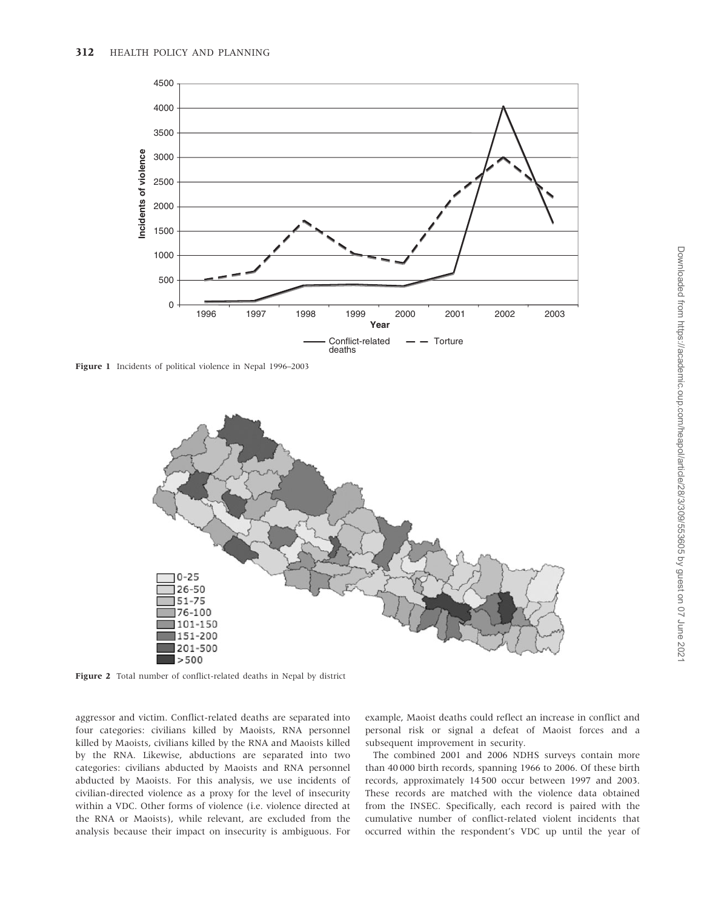<span id="page-3-0"></span>

Figure 1 Incidents of political violence in Nepal 1996–2003



Figure 2 Total number of conflict-related deaths in Nepal by district

aggressor and victim. Conflict-related deaths are separated into four categories: civilians killed by Maoists, RNA personnel killed by Maoists, civilians killed by the RNA and Maoists killed by the RNA. Likewise, abductions are separated into two categories: civilians abducted by Maoists and RNA personnel abducted by Maoists. For this analysis, we use incidents of civilian-directed violence as a proxy for the level of insecurity within a VDC. Other forms of violence (i.e. violence directed at the RNA or Maoists), while relevant, are excluded from the analysis because their impact on insecurity is ambiguous. For

example, Maoist deaths could reflect an increase in conflict and personal risk or signal a defeat of Maoist forces and a subsequent improvement in security.

The combined 2001 and 2006 NDHS surveys contain more than 40 000 birth records, spanning 1966 to 2006. Of these birth records, approximately 14 500 occur between 1997 and 2003. These records are matched with the violence data obtained from the INSEC. Specifically, each record is paired with the cumulative number of conflict-related violent incidents that occurred within the respondent's VDC up until the year of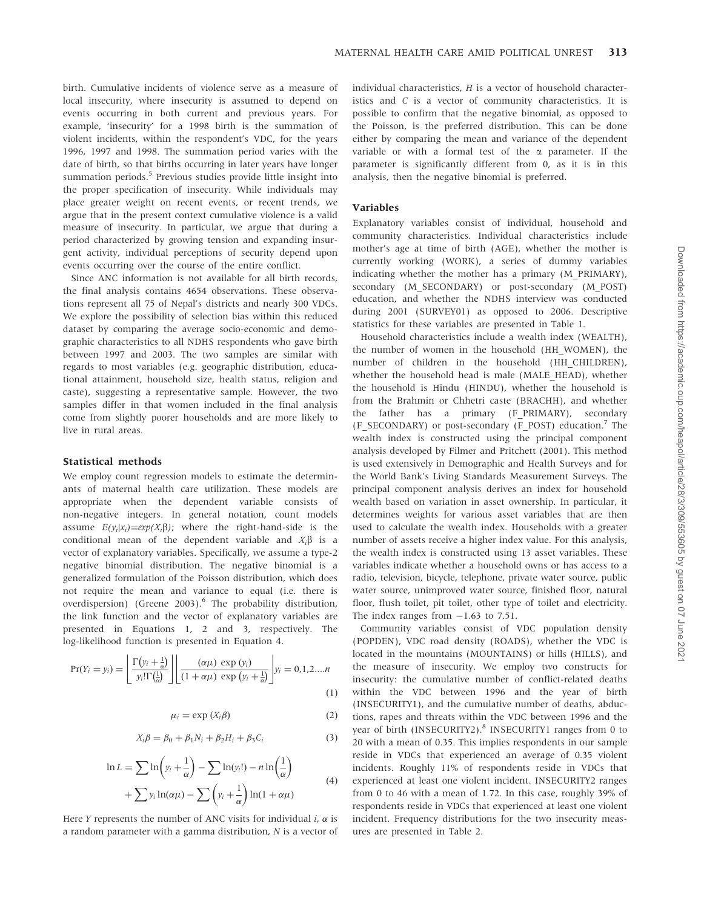birth. Cumulative incidents of violence serve as a measure of local insecurity, where insecurity is assumed to depend on events occurring in both current and previous years. For example, 'insecurity' for a 1998 birth is the summation of violent incidents, within the respondent's VDC, for the years 1996, 1997 and 1998. The summation period varies with the date of birth, so that births occurring in later years have longer summation periods.<sup>5</sup> Previous studies provide little insight into the proper specification of insecurity. While individuals may place greater weight on recent events, or recent trends, we argue that in the present context cumulative violence is a valid measure of insecurity. In particular, we argue that during a period characterized by growing tension and expanding insurgent activity, individual perceptions of security depend upon events occurring over the course of the entire conflict.

Since ANC information is not available for all birth records, the final analysis contains 4654 observations. These observations represent all 75 of Nepal's districts and nearly 300 VDCs. We explore the possibility of selection bias within this reduced dataset by comparing the average socio-economic and demographic characteristics to all NDHS respondents who gave birth between 1997 and 2003. The two samples are similar with regards to most variables (e.g. geographic distribution, educational attainment, household size, health status, religion and caste), suggesting a representative sample. However, the two samples differ in that women included in the final analysis come from slightly poorer households and are more likely to live in rural areas.

#### Statistical methods

We employ count regression models to estimate the determinants of maternal health care utilization. These models are appropriate when the dependent variable consists of non-negative integers. In general notation, count models assume  $E(y_i|x_i) = exp(X_i\beta)$ ; where the right-hand-side is the conditional mean of the dependent variable and  $X_i\beta$  is a vector of explanatory variables. Specifically, we assume a type-2 negative binomial distribution. The negative binomial is a generalized formulation of the Poisson distribution, which does not require the mean and variance to equal (i.e. there is overdispersion) ([Greene 2003\)](#page-9-0).<sup>6</sup> The probability distribution, the link function and the vector of explanatory variables are presented in Equations 1, 2 and 3, respectively. The log-likelihood function is presented in Equation 4.

$$
Pr(Y_i = y_i) = \left[ \frac{\Gamma(y_i + \frac{1}{\alpha})}{y_i! \Gamma(\frac{1}{\alpha})} \right] \left[ \frac{(\alpha \mu) \exp(y_i)}{(1 + \alpha \mu) \exp(y_i + \frac{1}{\alpha})} \right] y_i = 0, 1, 2, \dots, n
$$
\n(1)

$$
\mu_i = \exp(X_i \beta) \tag{2}
$$

$$
X_i \beta = \beta_0 + \beta_1 N_i + \beta_2 H_i + \beta_3 C_i \tag{3}
$$

$$
\ln L = \sum \ln \left( y_i + \frac{1}{\alpha} \right) - \sum \ln(y_i!) - n \ln \left( \frac{1}{\alpha} \right) + \sum y_i \ln(\alpha \mu) - \sum \left( y_i + \frac{1}{\alpha} \right) \ln(1 + \alpha \mu) \tag{4}
$$

Here *Y* represents the number of ANC visits for individual  $i$ ,  $\alpha$  is a random parameter with a gamma distribution,  $N$  is a vector of individual characteristics, H is a vector of household characteristics and C is a vector of community characteristics. It is possible to confirm that the negative binomial, as opposed to the Poisson, is the preferred distribution. This can be done either by comparing the mean and variance of the dependent variable or with a formal test of the  $\alpha$  parameter. If the parameter is significantly different from 0, as it is in this analysis, then the negative binomial is preferred.

## Variables

Explanatory variables consist of individual, household and community characteristics. Individual characteristics include mother's age at time of birth (AGE), whether the mother is currently working (WORK), a series of dummy variables indicating whether the mother has a primary (M\_PRIMARY), secondary (M\_SECONDARY) or post-secondary (M\_POST) education, and whether the NDHS interview was conducted during 2001 (SURVEY01) as opposed to 2006. Descriptive statistics for these variables are presented in [Table 1](#page-5-0).

Household characteristics include a wealth index (WEALTH), the number of women in the household (HH\_WOMEN), the number of children in the household (HH\_CHILDREN), whether the household head is male (MALE\_HEAD), whether the household is Hindu (HINDU), whether the household is from the Brahmin or Chhetri caste (BRACHH), and whether the father has a primary (F\_PRIMARY), secondary (F\_SECONDARY) or post-secondary (F\_POST) education.<sup>7</sup> The wealth index is constructed using the principal component analysis developed by [Filmer and Pritchett \(2001\)](#page-9-0). This method is used extensively in Demographic and Health Surveys and for the World Bank's Living Standards Measurement Surveys. The principal component analysis derives an index for household wealth based on variation in asset ownership. In particular, it determines weights for various asset variables that are then used to calculate the wealth index. Households with a greater number of assets receive a higher index value. For this analysis, the wealth index is constructed using 13 asset variables. These variables indicate whether a household owns or has access to a radio, television, bicycle, telephone, private water source, public water source, unimproved water source, finished floor, natural floor, flush toilet, pit toilet, other type of toilet and electricity. The index ranges from  $-1.63$  to 7.51.

Community variables consist of VDC population density (POPDEN), VDC road density (ROADS), whether the VDC is located in the mountains (MOUNTAINS) or hills (HILLS), and the measure of insecurity. We employ two constructs for insecurity: the cumulative number of conflict-related deaths within the VDC between 1996 and the year of birth (INSECURITY1), and the cumulative number of deaths, abductions, rapes and threats within the VDC between 1996 and the year of birth (INSECURITY2).<sup>8</sup> INSECURITY1 ranges from 0 to 20 with a mean of 0.35. This implies respondents in our sample reside in VDCs that experienced an average of 0.35 violent incidents. Roughly 11% of respondents reside in VDCs that experienced at least one violent incident. INSECURITY2 ranges from 0 to 46 with a mean of 1.72. In this case, roughly 39% of respondents reside in VDCs that experienced at least one violent incident. Frequency distributions for the two insecurity measures are presented in [Table 2](#page-5-0).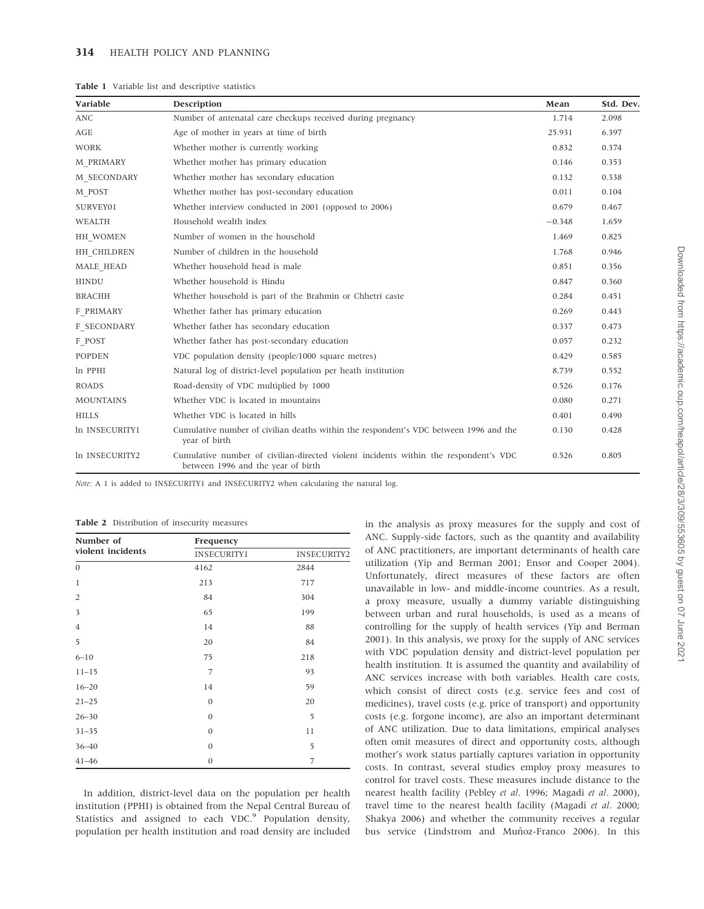<span id="page-5-0"></span>

| Variable           | Description                                                                                                                | Mean     | Std. Dev. |
|--------------------|----------------------------------------------------------------------------------------------------------------------------|----------|-----------|
| <b>ANC</b>         | Number of antenatal care checkups received during pregnancy                                                                | 1.714    | 2.098     |
| AGE                | Age of mother in years at time of birth                                                                                    | 25.931   | 6.397     |
| <b>WORK</b>        | Whether mother is currently working                                                                                        | 0.832    | 0.374     |
| M PRIMARY          | Whether mother has primary education                                                                                       | 0.146    | 0.353     |
| M SECONDARY        | Whether mother has secondary education                                                                                     | 0.132    | 0.338     |
| M POST             | Whether mother has post-secondary education                                                                                | 0.011    | 0.104     |
| SURVEY01           | Whether interview conducted in 2001 (opposed to 2006)                                                                      | 0.679    | 0.467     |
| WEALTH             | Household wealth index                                                                                                     | $-0.348$ | 1.659     |
| HH WOMEN           | Number of women in the household                                                                                           | 1.469    | 0.825     |
| HH CHILDREN        | Number of children in the household                                                                                        | 1.768    | 0.946     |
| MALE HEAD          | Whether household head is male                                                                                             | 0.851    | 0.356     |
| <b>HINDU</b>       | Whether household is Hindu                                                                                                 | 0.847    | 0.360     |
| <b>BRACHH</b>      | Whether household is part of the Brahmin or Chhetri caste                                                                  | 0.284    | 0.451     |
| F PRIMARY          | Whether father has primary education                                                                                       | 0.269    | 0.443     |
| <b>F SECONDARY</b> | Whether father has secondary education                                                                                     | 0.337    | 0.473     |
| F POST             | Whether father has post-secondary education                                                                                | 0.057    | 0.232     |
| <b>POPDEN</b>      | VDC population density (people/1000 square metres)                                                                         | 0.429    | 0.585     |
| ln PPHI            | Natural log of district-level population per heath institution                                                             | 8.739    | 0.552     |
| <b>ROADS</b>       | Road-density of VDC multiplied by 1000                                                                                     | 0.526    | 0.176     |
| <b>MOUNTAINS</b>   | Whether VDC is located in mountains                                                                                        | 0.080    | 0.271     |
| <b>HILLS</b>       | Whether VDC is located in hills                                                                                            | 0.401    | 0.490     |
| ln INSECURITY1     | Cumulative number of civilian deaths within the respondent's VDC between 1996 and the<br>year of birth                     | 0.130    | 0.428     |
| ln INSECURITY2     | Cumulative number of civilian-directed violent incidents within the respondent's VDC<br>between 1996 and the year of birth | 0.526    | 0.805     |

Note: A 1 is added to INSECURITY1 and INSECURITY2 when calculating the natural log.

Table 2 Distribution of insecurity measures

| Number of         | Frequency          |                    |  |
|-------------------|--------------------|--------------------|--|
| violent incidents | <b>INSECURITY1</b> | <b>INSECURITY2</b> |  |
| $\mathbf{0}$      | 4162               | 2844               |  |
| 1                 | 213                | 717                |  |
| $\overline{2}$    | 84                 | 304                |  |
| 3                 | 65                 | 199                |  |
| $\overline{4}$    | 14                 | 88                 |  |
| 5                 | 20                 | 84                 |  |
| $6 - 10$          | 75                 | 218                |  |
| $11 - 15$         | 7                  | 93                 |  |
| $16 - 20$         | 14                 | 59                 |  |
| $21 - 25$         | $\Omega$           | 20                 |  |
| $26 - 30$         | $\mathbf{0}$       | 5                  |  |
| $31 - 35$         | $\mathbf{0}$       | 11                 |  |
| $36 - 40$         | $\Omega$           | 5                  |  |
| $41 - 46$         | $\mathbf{0}$       | 7                  |  |

In addition, district-level data on the population per health institution (PPHI) is obtained from the Nepal Central Bureau of Statistics and assigned to each VDC.<sup>9</sup> Population density, population per health institution and road density are included

in the analysis as proxy measures for the supply and cost of ANC. Supply-side factors, such as the quantity and availability of ANC practitioners, are important determinants of health care utilization ([Yip and Berman 2001;](#page-10-0) [Ensor and Cooper 2004](#page-9-0)). Unfortunately, direct measures of these factors are often unavailable in low- and middle-income countries. As a result, a proxy measure, usually a dummy variable distinguishing between urban and rural households, is used as a means of controlling for the supply of health services [\(Yip and Berman](#page-10-0) [2001](#page-10-0)). In this analysis, we proxy for the supply of ANC services with VDC population density and district-level population per health institution. It is assumed the quantity and availability of ANC services increase with both variables. Health care costs, which consist of direct costs (e.g. service fees and cost of medicines), travel costs (e.g. price of transport) and opportunity costs (e.g. forgone income), are also an important determinant of ANC utilization. Due to data limitations, empirical analyses often omit measures of direct and opportunity costs, although mother's work status partially captures variation in opportunity costs. In contrast, several studies employ proxy measures to control for travel costs. These measures include distance to the nearest health facility ([Pebley](#page-10-0) et al. 1996; [Magadi](#page-9-0) et al. 2000), travel time to the nearest health facility ([Magadi](#page-9-0) et al. 2000; [Shakya 2006\)](#page-10-0) and whether the community receives a regular bus service (Lindstrom and Muñoz-Franco 2006). In this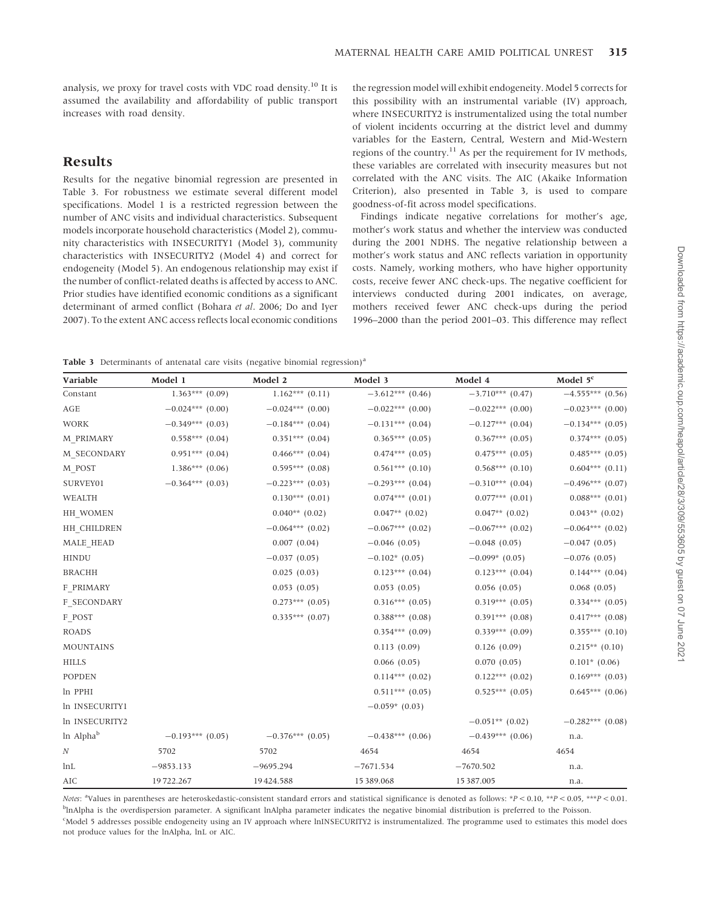analysis, we proxy for travel costs with VDC road density.<sup>10</sup> It is assumed the availability and affordability of public transport increases with road density.

# Results

Results for the negative binomial regression are presented in Table 3. For robustness we estimate several different model specifications. Model 1 is a restricted regression between the number of ANC visits and individual characteristics. Subsequent models incorporate household characteristics (Model 2), community characteristics with INSECURITY1 (Model 3), community characteristics with INSECURITY2 (Model 4) and correct for endogeneity (Model 5). An endogenous relationship may exist if the number of conflict-related deaths is affected by access to ANC. Prior studies have identified economic conditions as a significant determinant of armed conflict [\(Bohara](#page-9-0) et al. 2006; [Do and Iyer](#page-9-0) [2007](#page-9-0)). To the extent ANC access reflects local economic conditions

the regression model will exhibit endogeneity. Model 5 corrects for this possibility with an instrumental variable (IV) approach, where INSECURITY2 is instrumentalized using the total number of violent incidents occurring at the district level and dummy variables for the Eastern, Central, Western and Mid-Western regions of the country.<sup>11</sup> As per the requirement for IV methods, these variables are correlated with insecurity measures but not correlated with the ANC visits. The AIC (Akaike Information Criterion), also presented in Table 3, is used to compare goodness-of-fit across model specifications.

Findings indicate negative correlations for mother's age, mother's work status and whether the interview was conducted during the 2001 NDHS. The negative relationship between a mother's work status and ANC reflects variation in opportunity costs. Namely, working mothers, who have higher opportunity costs, receive fewer ANC check-ups. The negative coefficient for interviews conducted during 2001 indicates, on average, mothers received fewer ANC check-ups during the period 1996–2000 than the period 2001–03. This difference may reflect

Table 3 Determinants of antenatal care visits (negative binomial regression)<sup>a</sup>

| Variable              | Model 1             | Model 2            | Model 3            | Model 4            | Model 5 <sup>c</sup> |
|-----------------------|---------------------|--------------------|--------------------|--------------------|----------------------|
| Constant              | $1.363***$ (0.09)   | $1.162***$ (0.11)  | $-3.612***$ (0.46) | $-3.710***$ (0.47) | $-4.555***$ (0.56)   |
| AGE                   | $-0.024***$ (0.00)  | $-0.024***$ (0.00) | $-0.022***$ (0.00) | $-0.022***$ (0.00) | $-0.023***$ (0.00)   |
| <b>WORK</b>           | $-0.349***$ (0.03)  | $-0.184***$ (0.04) | $-0.131***$ (0.04) | $-0.127***$ (0.04) | $-0.134***$ (0.05)   |
| M PRIMARY             | $0.558***$ $(0.04)$ | $0.351***$ (0.04)  | $0.365***$ (0.05)  | $0.367***$ (0.05)  | $0.374***$ (0.05)    |
| M SECONDARY           | $0.951***$ (0.04)   | $0.466***$ (0.04)  | $0.474***$ (0.05)  | $0.475***$ (0.05)  | $0.485***$ (0.05)    |
| M POST                | $1.386***$ (0.06)   | $0.595***$ (0.08)  | $0.561***$ (0.10)  | $0.568***$ (0.10)  | $0.604***$ (0.11)    |
| SURVEY01              | $-0.364***$ (0.03)  | $-0.223***$ (0.03) | $-0.293***$ (0.04) | $-0.310***$ (0.04) | $-0.496***$ (0.07)   |
| WEALTH                |                     | $0.130***$ (0.01)  | $0.074***$ (0.01)  | $0.077***$ (0.01)  | $0.088***$ $(0.01)$  |
| HH WOMEN              |                     | $0.040**$ (0.02)   | $0.047**$ (0.02)   | $0.047**$ (0.02)   | $0.043**$ (0.02)     |
| HH CHILDREN           |                     | $-0.064***$ (0.02) | $-0.067***$ (0.02) | $-0.067***$ (0.02) | $-0.064***$ (0.02)   |
| MALE HEAD             |                     | 0.007(0.04)        | $-0.046(0.05)$     | $-0.048(0.05)$     | $-0.047(0.05)$       |
| <b>HINDU</b>          |                     | $-0.037(0.05)$     | $-0.102*(0.05)$    | $-0.099*$ (0.05)   | $-0.076(0.05)$       |
| <b>BRACHH</b>         |                     | 0.025(0.03)        | $0.123***$ (0.04)  | $0.123***$ (0.04)  | $0.144***$ $(0.04)$  |
| F PRIMARY             |                     | 0.053(0.05)        | 0.053(0.05)        | 0.056(0.05)        | 0.068(0.05)          |
| F SECONDARY           |                     | $0.273***$ (0.05)  | $0.316***$ (0.05)  | $0.319***$ (0.05)  | $0.334***$ (0.05)    |
| F POST                |                     | $0.335***$ (0.07)  | $0.388***$ (0.08)  | $0.391***$ (0.08)  | $0.417***$ $(0.08)$  |
| <b>ROADS</b>          |                     |                    | $0.354***$ (0.09)  | $0.339***$ (0.09)  | $0.355***$ (0.10)    |
| <b>MOUNTAINS</b>      |                     |                    | 0.113(0.09)        | 0.126(0.09)        | $0.215**$ (0.10)     |
| <b>HILLS</b>          |                     |                    | 0.066(0.05)        | 0.070(0.05)        | $0.101*$ (0.06)      |
| <b>POPDEN</b>         |                     |                    | $0.114***$ (0.02)  | $0.122***$ (0.02)  | $0.169***$ (0.03)    |
| In PPHI               |                     |                    | $0.511***$ (0.05)  | $0.525***$ (0.05)  | $0.645***$ $(0.06)$  |
| ln INSECURITY1        |                     |                    | $-0.059*$ (0.03)   |                    |                      |
| ln INSECURITY2        |                     |                    |                    | $-0.051**$ (0.02)  | $-0.282***$ (0.08)   |
| ln Alpha <sup>b</sup> | $-0.193***$ (0.05)  | $-0.376***$ (0.05) | $-0.438***$ (0.06) | $-0.439***$ (0.06) | n.a.                 |
| $\cal N$              | 5702                | 5702               | 4654               | 4654               | 4654                 |
| lnL                   | $-9853.133$         | $-9695.294$        | $-7671.534$        | $-7670.502$        | n.a.                 |
| <b>AIC</b>            | 19722.267           | 19424.588          | 15 389.068         | 15 387.005         | n.a.                 |

Notes: <sup>a</sup>Values in parentheses are heteroskedastic-consistent standard errors and statistical significance is denoted as follows: \*P < 0.10, \*\*P < 0.05, \*\*\*P < 0.01. <sup>b</sup>InAlpha is the overdispersion parameter. A significant lnAlpha parameter indicates the negative binomial distribution is preferred to the Poisson. c Model 5 addresses possible endogeneity using an IV approach where lnINSECURITY2 is instrumentalized. The programme used to estimates this model does not produce values for the lnAlpha, lnL or AIC.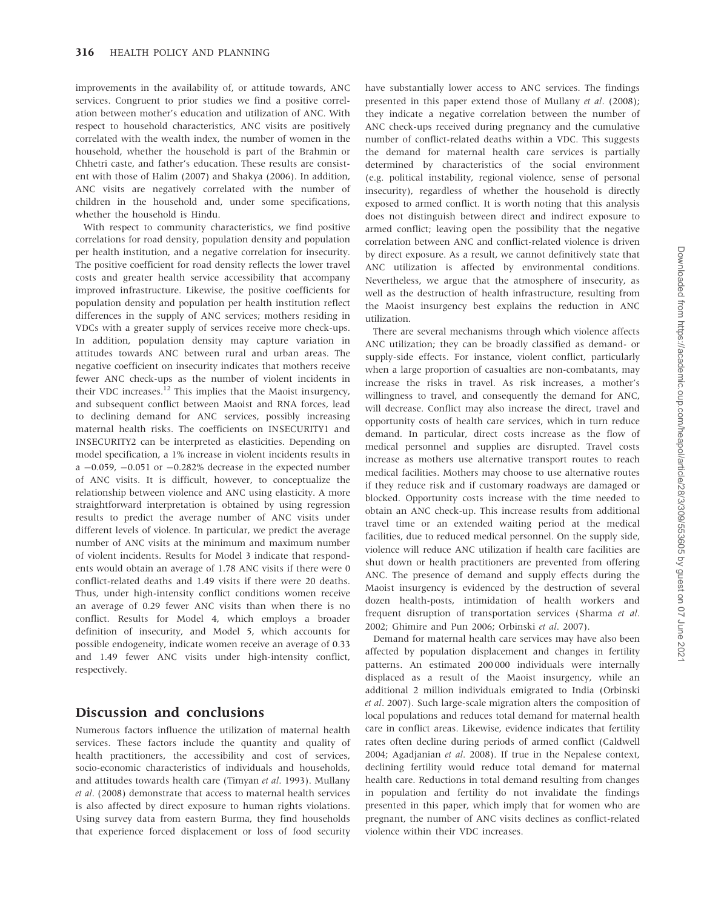improvements in the availability of, or attitude towards, ANC services. Congruent to prior studies we find a positive correlation between mother's education and utilization of ANC. With respect to household characteristics, ANC visits are positively correlated with the wealth index, the number of women in the household, whether the household is part of the Brahmin or Chhetri caste, and father's education. These results are consistent with those of [Halim \(2007\)](#page-9-0) and [Shakya \(2006\)](#page-10-0). In addition, ANC visits are negatively correlated with the number of children in the household and, under some specifications, whether the household is Hindu.

With respect to community characteristics, we find positive correlations for road density, population density and population per health institution, and a negative correlation for insecurity. The positive coefficient for road density reflects the lower travel costs and greater health service accessibility that accompany improved infrastructure. Likewise, the positive coefficients for population density and population per health institution reflect differences in the supply of ANC services; mothers residing in VDCs with a greater supply of services receive more check-ups. In addition, population density may capture variation in attitudes towards ANC between rural and urban areas. The negative coefficient on insecurity indicates that mothers receive fewer ANC check-ups as the number of violent incidents in their VDC increases. $^{12}$  This implies that the Maoist insurgency, and subsequent conflict between Maoist and RNA forces, lead to declining demand for ANC services, possibly increasing maternal health risks. The coefficients on INSECURITY1 and INSECURITY2 can be interpreted as elasticities. Depending on model specification, a 1% increase in violent incidents results in a  $-0.059$ ,  $-0.051$  or  $-0.282\%$  decrease in the expected number of ANC visits. It is difficult, however, to conceptualize the relationship between violence and ANC using elasticity. A more straightforward interpretation is obtained by using regression results to predict the average number of ANC visits under different levels of violence. In particular, we predict the average number of ANC visits at the minimum and maximum number of violent incidents. Results for Model 3 indicate that respondents would obtain an average of 1.78 ANC visits if there were 0 conflict-related deaths and 1.49 visits if there were 20 deaths. Thus, under high-intensity conflict conditions women receive an average of 0.29 fewer ANC visits than when there is no conflict. Results for Model 4, which employs a broader definition of insecurity, and Model 5, which accounts for possible endogeneity, indicate women receive an average of 0.33 and 1.49 fewer ANC visits under high-intensity conflict, respectively.

# Discussion and conclusions

Numerous factors influence the utilization of maternal health services. These factors include the quantity and quality of health practitioners, the accessibility and cost of services, socio-economic characteristics of individuals and households, and attitudes towards health care ([Timyan](#page-10-0) et al. 1993). [Mullany](#page-9-0) et al[. \(2008\)](#page-9-0) demonstrate that access to maternal health services is also affected by direct exposure to human rights violations. Using survey data from eastern Burma, they find households that experience forced displacement or loss of food security

have substantially lower access to ANC services. The findings presented in this paper extend those of [Mullany](#page-9-0) et al. (2008); they indicate a negative correlation between the number of ANC check-ups received during pregnancy and the cumulative number of conflict-related deaths within a VDC. This suggests the demand for maternal health care services is partially determined by characteristics of the social environment (e.g. political instability, regional violence, sense of personal insecurity), regardless of whether the household is directly exposed to armed conflict. It is worth noting that this analysis does not distinguish between direct and indirect exposure to armed conflict; leaving open the possibility that the negative correlation between ANC and conflict-related violence is driven by direct exposure. As a result, we cannot definitively state that ANC utilization is affected by environmental conditions. Nevertheless, we argue that the atmosphere of insecurity, as well as the destruction of health infrastructure, resulting from the Maoist insurgency best explains the reduction in ANC utilization.

There are several mechanisms through which violence affects ANC utilization; they can be broadly classified as demand- or supply-side effects. For instance, violent conflict, particularly when a large proportion of casualties are non-combatants, may increase the risks in travel. As risk increases, a mother's willingness to travel, and consequently the demand for ANC, will decrease. Conflict may also increase the direct, travel and opportunity costs of health care services, which in turn reduce demand. In particular, direct costs increase as the flow of medical personnel and supplies are disrupted. Travel costs increase as mothers use alternative transport routes to reach medical facilities. Mothers may choose to use alternative routes if they reduce risk and if customary roadways are damaged or blocked. Opportunity costs increase with the time needed to obtain an ANC check-up. This increase results from additional travel time or an extended waiting period at the medical facilities, due to reduced medical personnel. On the supply side, violence will reduce ANC utilization if health care facilities are shut down or health practitioners are prevented from offering ANC. The presence of demand and supply effects during the Maoist insurgency is evidenced by the destruction of several dozen health-posts, intimidation of health workers and frequent disruption of transportation services [\(Sharma](#page-10-0) et al. [2002](#page-10-0); [Ghimire and Pun 2006](#page-9-0); [Orbinski](#page-10-0) et al. 2007).

Demand for maternal health care services may have also been affected by population displacement and changes in fertility patterns. An estimated 200 000 individuals were internally displaced as a result of the Maoist insurgency, while an additional 2 million individuals emigrated to India [\(Orbinski](#page-10-0) et al[. 2007\)](#page-10-0). Such large-scale migration alters the composition of local populations and reduces total demand for maternal health care in conflict areas. Likewise, evidence indicates that fertility rates often decline during periods of armed conflict ([Caldwell](#page-9-0) [2004](#page-9-0); [Agadjanian](#page-9-0) et al. 2008). If true in the Nepalese context, declining fertility would reduce total demand for maternal health care. Reductions in total demand resulting from changes in population and fertility do not invalidate the findings presented in this paper, which imply that for women who are pregnant, the number of ANC visits declines as conflict-related violence within their VDC increases.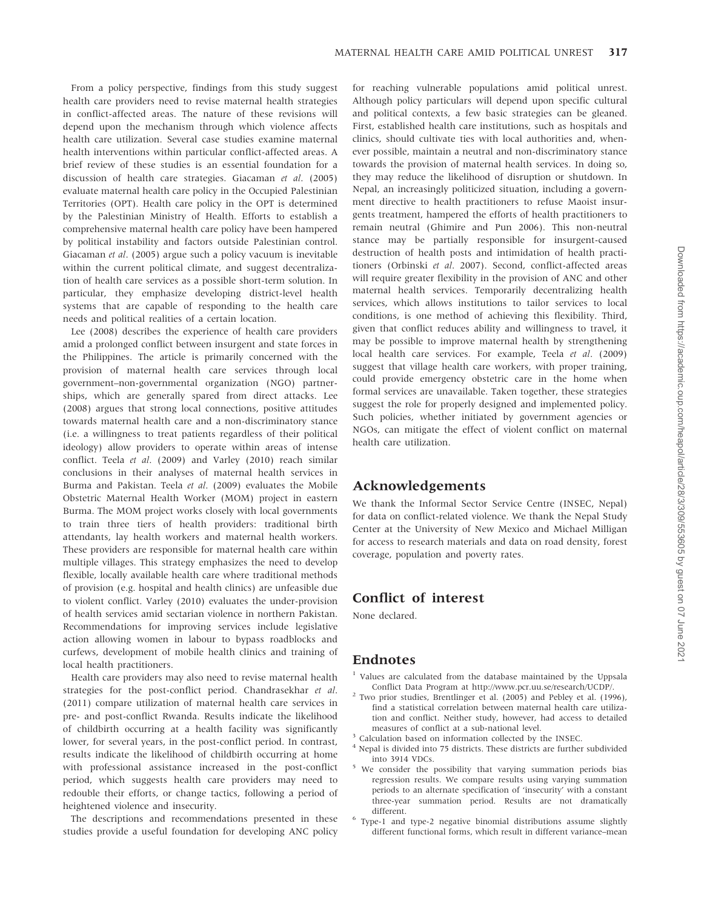From a policy perspective, findings from this study suggest health care providers need to revise maternal health strategies in conflict-affected areas. The nature of these revisions will depend upon the mechanism through which violence affects health care utilization. Several case studies examine maternal health interventions within particular conflict-affected areas. A brief review of these studies is an essential foundation for a discussion of health care strategies. [Giacaman](#page-9-0) et al. (2005) evaluate maternal health care policy in the Occupied Palestinian Territories (OPT). Health care policy in the OPT is determined by the Palestinian Ministry of Health. Efforts to establish a comprehensive maternal health care policy have been hampered by political instability and factors outside Palestinian control. [Giacaman](#page-9-0) et al. (2005) argue such a policy vacuum is inevitable within the current political climate, and suggest decentralization of health care services as a possible short-term solution. In particular, they emphasize developing district-level health systems that are capable of responding to the health care needs and political realities of a certain location.

[Lee \(2008\)](#page-9-0) describes the experience of health care providers amid a prolonged conflict between insurgent and state forces in the Philippines. The article is primarily concerned with the provision of maternal health care services through local government–non-governmental organization (NGO) partnerships, which are generally spared from direct attacks. [Lee](#page-9-0) [\(2008\)](#page-9-0) argues that strong local connections, positive attitudes towards maternal health care and a non-discriminatory stance (i.e. a willingness to treat patients regardless of their political ideology) allow providers to operate within areas of intense conflict. Teela et al[. \(2009\)](#page-10-0) and [Varley \(2010\)](#page-10-0) reach similar conclusions in their analyses of maternal health services in Burma and Pakistan. Teela et al[. \(2009\)](#page-10-0) evaluates the Mobile Obstetric Maternal Health Worker (MOM) project in eastern Burma. The MOM project works closely with local governments to train three tiers of health providers: traditional birth attendants, lay health workers and maternal health workers. These providers are responsible for maternal health care within multiple villages. This strategy emphasizes the need to develop flexible, locally available health care where traditional methods of provision (e.g. hospital and health clinics) are unfeasible due to violent conflict. [Varley \(2010\)](#page-10-0) evaluates the under-provision of health services amid sectarian violence in northern Pakistan. Recommendations for improving services include legislative action allowing women in labour to bypass roadblocks and curfews, development of mobile health clinics and training of local health practitioners.

Health care providers may also need to revise maternal health strategies for the post-conflict period. [Chandrasekhar](#page-9-0) et al. [\(2011\)](#page-9-0) compare utilization of maternal health care services in pre- and post-conflict Rwanda. Results indicate the likelihood of childbirth occurring at a health facility was significantly lower, for several years, in the post-conflict period. In contrast, results indicate the likelihood of childbirth occurring at home with professional assistance increased in the post-conflict period, which suggests health care providers may need to redouble their efforts, or change tactics, following a period of heightened violence and insecurity.

The descriptions and recommendations presented in these studies provide a useful foundation for developing ANC policy for reaching vulnerable populations amid political unrest. Although policy particulars will depend upon specific cultural and political contexts, a few basic strategies can be gleaned. First, established health care institutions, such as hospitals and clinics, should cultivate ties with local authorities and, whenever possible, maintain a neutral and non-discriminatory stance towards the provision of maternal health services. In doing so, they may reduce the likelihood of disruption or shutdown. In Nepal, an increasingly politicized situation, including a government directive to health practitioners to refuse Maoist insurgents treatment, hampered the efforts of health practitioners to remain neutral ([Ghimire and Pun 2006\)](#page-9-0). This non-neutral stance may be partially responsible for insurgent-caused destruction of health posts and intimidation of health practitioners [\(Orbinski](#page-10-0) et al. 2007). Second, conflict-affected areas will require greater flexibility in the provision of ANC and other maternal health services. Temporarily decentralizing health services, which allows institutions to tailor services to local conditions, is one method of achieving this flexibility. Third, given that conflict reduces ability and willingness to travel, it may be possible to improve maternal health by strengthening local health care services. For example, Teela et al[. \(2009\)](#page-10-0) suggest that village health care workers, with proper training, could provide emergency obstetric care in the home when formal services are unavailable. Taken together, these strategies suggest the role for properly designed and implemented policy. Such policies, whether initiated by government agencies or NGOs, can mitigate the effect of violent conflict on maternal health care utilization.

# Acknowledgements

We thank the Informal Sector Service Centre (INSEC, Nepal) for data on conflict-related violence. We thank the Nepal Study Center at the University of New Mexico and Michael Milligan for access to research materials and data on road density, forest coverage, population and poverty rates.

# Conflict of interest

None declared.

## Endnotes

- <sup>1</sup> Values are calculated from the database maintained by the Uppsala
- Conflict Data Program at [http://www.pcr.uu.se/research/UCDP/.](http://www.pcr.uu.se/research/UCDP/) <sup>2</sup> Two prior studies, [Brentlinger et al. \(2005\)](#page-9-0) and [Pebley et al. \(1996\),](#page-10-0) find a statistical correlation between maternal health care utilization and conflict. Neither study, however, had access to detailed measures of conflict at a sub-national level.<br><sup>3</sup> Calculation based on information collected by the INSEC.<br><sup>4</sup> Nepal is divided into 75 districts. These districts are further subdivided
- 
- 
- $^5\,$  We consider the possibility that varying summation periods bias  $^5\,$ regression results. We compare results using varying summation periods to an alternate specification of 'insecurity' with a constant three-year summation period. Results are not dramatically
- different. <sup>6</sup> Type-1 and type-2 negative binomial distributions assume slightly different functional forms, which result in different variance–mean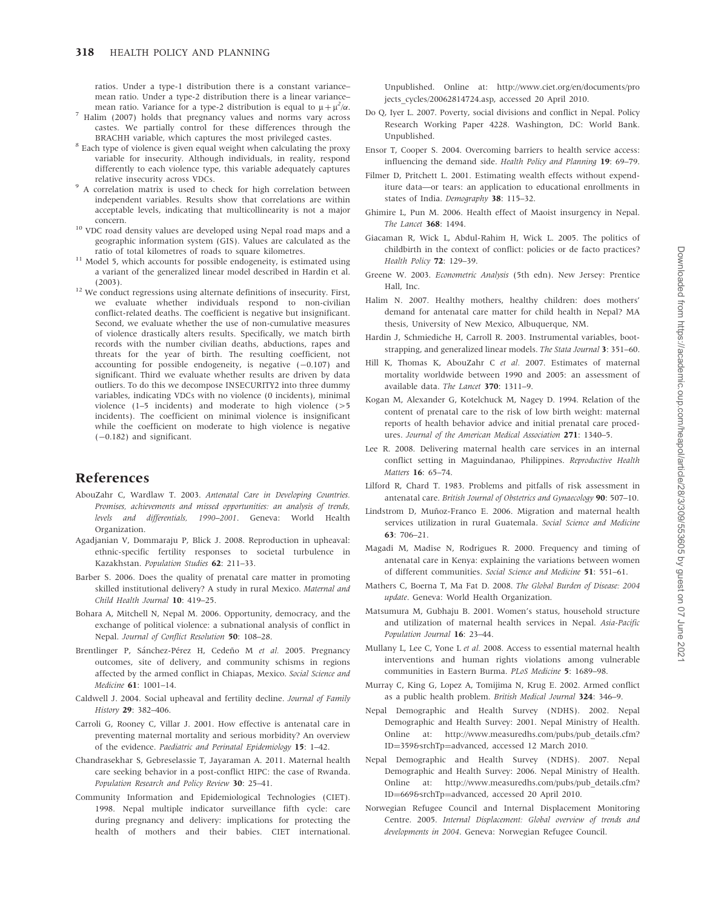<span id="page-9-0"></span>ratios. Under a type-1 distribution there is a constant variance– mean ratio. Under a type-2 distribution there is a linear variance– mean ratio. Variance for a type-2 distribution is equal to  $\mu + \mu^2/\alpha$ 

- . <sup>7</sup> Halim (2007) holds that pregnancy values and norms vary across castes. We partially control for these differences through the
- BRACHH variable, which captures the most privileged castes. <sup>8</sup> Each type of violence is given equal weight when calculating the proxy variable for insecurity. Although individuals, in reality, respond differently to each violence type, this variable adequately captures
- relative insecurity across VDCs. <sup>9</sup> A correlation matrix is used to check for high correlation between independent variables. Results show that correlations are within acceptable levels, indicating that multicollinearity is not a major concern. <sup>10</sup> VDC road density values are developed using Nepal road maps and a
- geographic information system (GIS). Values are calculated as the
- ratio of total kilometres of roads to square kilometres.  $^{11}$  Model 5, which accounts for possible endogeneity, is estimated using a variant of the generalized linear model described in Hardin et al.
- (2003). <sup>12</sup> We conduct regressions using alternate definitions of insecurity. First, we evaluate whether individuals respond to non-civilian conflict-related deaths. The coefficient is negative but insignificant. Second, we evaluate whether the use of non-cumulative measures of violence drastically alters results. Specifically, we match birth records with the number civilian deaths, abductions, rapes and threats for the year of birth. The resulting coefficient, not accounting for possible endogeneity, is negative  $(-0.107)$  and significant. Third we evaluate whether results are driven by data outliers. To do this we decompose INSECURITY2 into three dummy variables, indicating VDCs with no violence (0 incidents), minimal violence (1–5 incidents) and moderate to high violence (>5 incidents). The coefficient on minimal violence is insignificant while the coefficient on moderate to high violence is negative  $(-0.182)$  and significant.

## References

- AbouZahr C, Wardlaw T. 2003. Antenatal Care in Developing Countries. Promises, achievements and missed opportunities: an analysis of trends, levels and differentials, 1990–2001. Geneva: World Health Organization.
- Agadjanian V, Dommaraju P, Blick J. 2008. Reproduction in upheaval: ethnic-specific fertility responses to societal turbulence in Kazakhstan. Population Studies 62: 211-33.
- Barber S. 2006. Does the quality of prenatal care matter in promoting skilled institutional delivery? A study in rural Mexico. Maternal and Child Health Journal 10: 419–25.
- Bohara A, Mitchell N, Nepal M. 2006. Opportunity, democracy, and the exchange of political violence: a subnational analysis of conflict in Nepal. Journal of Conflict Resolution 50: 108–28.
- Brentlinger P, Sánchez-Pérez H, Cedeño M et al. 2005. Pregnancy outcomes, site of delivery, and community schisms in regions affected by the armed conflict in Chiapas, Mexico. Social Science and Medicine 61: 1001–14.
- Caldwell J. 2004. Social upheaval and fertility decline. Journal of Family History 29: 382–406.
- Carroli G, Rooney C, Villar J. 2001. How effective is antenatal care in preventing maternal mortality and serious morbidity? An overview of the evidence. Paediatric and Perinatal Epidemiology 15: 1–42.
- Chandrasekhar S, Gebreselassie T, Jayaraman A. 2011. Maternal health care seeking behavior in a post-conflict HIPC: the case of Rwanda. Population Research and Policy Review 30: 25–41.
- Community Information and Epidemiological Technologies (CIET). 1998. Nepal multiple indicator surveillance fifth cycle: care during pregnancy and delivery: implications for protecting the health of mothers and their babies. CIET international.

Unpublished. Online at: [http://www.ciet.org/en/documents/pro](http://www.ciet.org/en/documents/projects_cycles/20062814724.asp) [jects\\_cycles/20062814724.asp,](http://www.ciet.org/en/documents/projects_cycles/20062814724.asp) accessed 20 April 2010.

- Do Q, Iyer L. 2007. Poverty, social divisions and conflict in Nepal. Policy Research Working Paper 4228. Washington, DC: World Bank. Unpublished.
- Ensor T, Cooper S. 2004. Overcoming barriers to health service access: influencing the demand side. Health Policy and Planning 19: 69–79.
- Filmer D, Pritchett L. 2001. Estimating wealth effects without expenditure data—or tears: an application to educational enrollments in states of India. Demography 38: 115–32.
- Ghimire L, Pun M. 2006. Health effect of Maoist insurgency in Nepal. The Lancet 368: 1494.
- Giacaman R, Wick L, Abdul-Rahim H, Wick L. 2005. The politics of childbirth in the context of conflict: policies or de facto practices? Health Policy 72: 129–39.
- Greene W. 2003. Econometric Analysis (5th edn). New Jersey: Prentice Hall, Inc.
- Halim N. 2007. Healthy mothers, healthy children: does mothers' demand for antenatal care matter for child health in Nepal? MA thesis, University of New Mexico, Albuquerque, NM.
- Hardin J, Schmiediche H, Carroll R. 2003. Instrumental variables, bootstrapping, and generalized linear models. The Stata Journal 3: 351–60.
- Hill K, Thomas K, AbouZahr C et al. 2007. Estimates of maternal mortality worldwide between 1990 and 2005: an assessment of available data. The Lancet 370: 1311–9.
- Kogan M, Alexander G, Kotelchuck M, Nagey D. 1994. Relation of the content of prenatal care to the risk of low birth weight: maternal reports of health behavior advice and initial prenatal care procedures. Journal of the American Medical Association 271: 1340–5.
- Lee R. 2008. Delivering maternal health care services in an internal conflict setting in Maguindanao, Philippines. Reproductive Health Matters **16**: 65-74.
- Lilford R, Chard T. 1983. Problems and pitfalls of risk assessment in antenatal care. British Journal of Obstetrics and Gynaecology 90: 507–10.
- Lindstrom D, Muñoz-Franco E. 2006. Migration and maternal health services utilization in rural Guatemala. Social Science and Medicine 63: 706–21.
- Magadi M, Madise N, Rodrigues R. 2000. Frequency and timing of antenatal care in Kenya: explaining the variations between women of different communities. Social Science and Medicine 51: 551–61.
- Mathers C, Boerna T, Ma Fat D. 2008. The Global Burden of Disease: 2004 update. Geneva: World Health Organization.
- Matsumura M, Gubhaju B. 2001. Women's status, household structure and utilization of maternal health services in Nepal. Asia-Pacific Population Journal 16: 23–44.
- Mullany L, Lee C, Yone L et al. 2008. Access to essential maternal health interventions and human rights violations among vulnerable communities in Eastern Burma. PLoS Medicine 5: 1689–98.
- Murray C, King G, Lopez A, Tomijima N, Krug E. 2002. Armed conflict as a public health problem. British Medical Journal 324: 346–9.
- Nepal Demographic and Health Survey (NDHS). 2002. Nepal Demographic and Health Survey: 2001. Nepal Ministry of Health. Online at: [http://www.measuredhs.com/pubs/pub\\_details.cfm?](http://www.measuredhs.com/pubs/pub_details.cfm?) ID=359&srchTp=advanced, accessed 12 March 2010.
- Nepal Demographic and Health Survey (NDHS). 2007. Nepal Demographic and Health Survey: 2006. Nepal Ministry of Health. Online at: [http://www.measuredhs.com/pubs/pub\\_details.cfm?](http://www.measuredhs.com/pubs/pub_details.cfm?) ID=669&srchTp=advanced, accessed 20 April 2010.
- Norwegian Refugee Council and Internal Displacement Monitoring Centre. 2005. Internal Displacement: Global overview of trends and developments in 2004. Geneva: Norwegian Refugee Council.